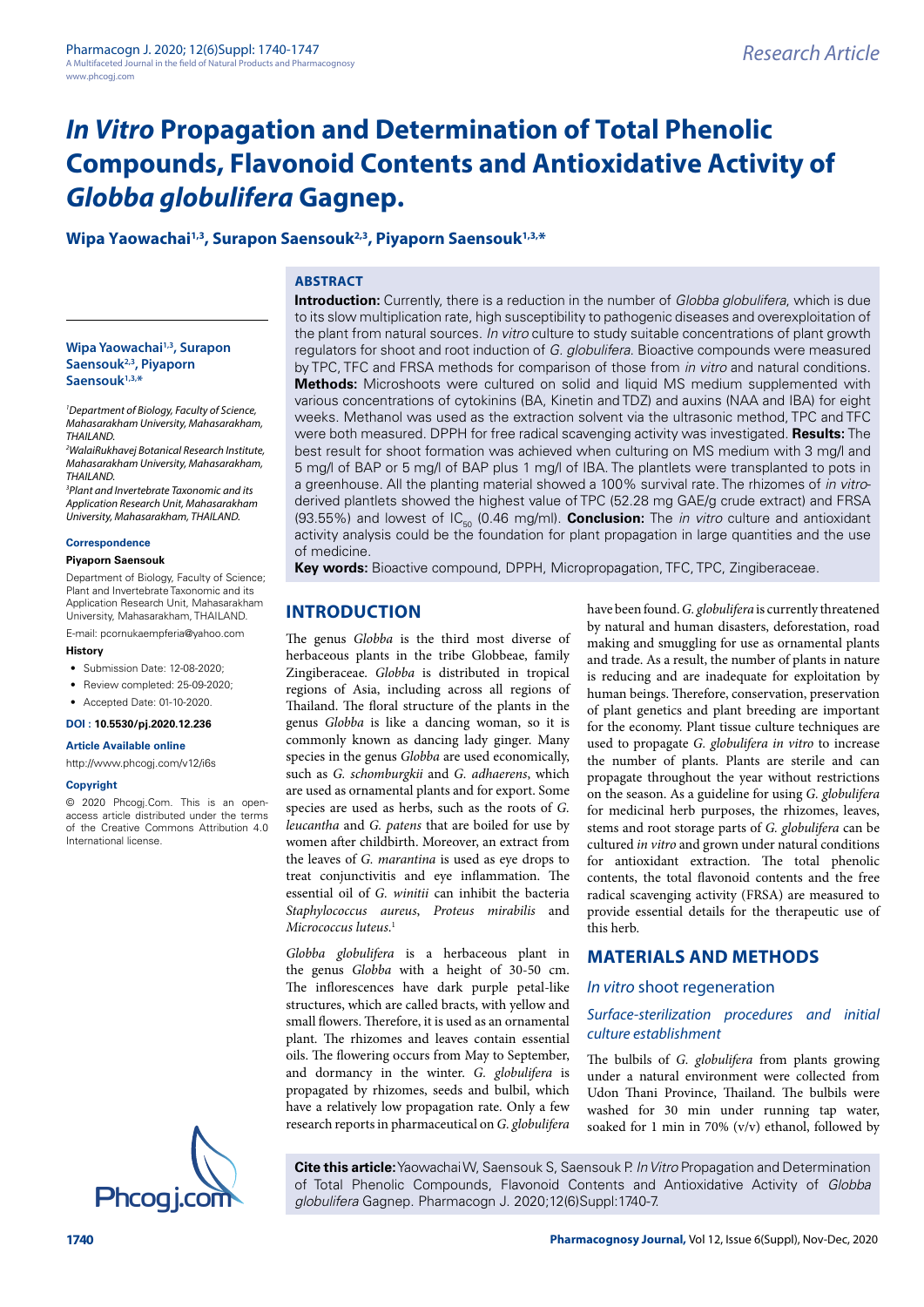## Wipa Yaowachai<sup>1,3</sup>, Surapon Saensouk<sup>2,3</sup>, Piyaporn Saensouk<sup>1,3,\*</sup>

## **ABSTRACT**

**Wipa Yaowachai1,3, Surapon Saensouk2,3, Piyaporn Saensouk1,3,\***

*1 Department of Biology, Faculty of Science, Mahasarakham University, Mahasarakham, THAILAND.*

*2 WalaiRukhavej Botanical Research Institute, Mahasarakham University, Mahasarakham, THAILAND.*

*3 Plant and Invertebrate Taxonomic and its Application Research Unit, Mahasarakham University, Mahasarakham, THAILAND.*

#### **Correspondence**

#### **Piyaporn Saensouk**

Department of Biology, Faculty of Science; Plant and Invertebrate Taxonomic and its Application Research Unit, Mahasarakham University, Mahasarakham, THAILAND.

E-mail: [pcornukaempferia@yahoo.com](mailto:pcornukaempferia@yahoo.com)

#### **History**

- Submission Date: 12-08-2020:
- Review completed: 25-09-2020:
- Accepted Date: 01-10-2020.

#### **DOI : 10.5530/pj.2020.12.236**

**Article Available online** 

<http://www.phcogj.com/v12/i6s>

#### **Copyright**

© 2020 Phcogj.Com. This is an openaccess article distributed under the terms of the Creative Commons Attribution 4.0 International license.



**Introduction:** Currently, there is a reduction in the number of *Globba globulifera*, which is due to its slow multiplication rate, high susceptibility to pathogenic diseases and overexploitation of the plant from natural sources. *In vitro* culture to study suitable concentrations of plant growth regulators for shoot and root induction of *G. globulifera*. Bioactive compounds were measured by TPC, TFC and FRSA methods for comparison of those from *in vitro* and natural conditions. **Methods:** Microshoots were cultured on solid and liquid MS medium supplemented with various concentrations of cytokinins (BA, Kinetin and TDZ) and auxins (NAA and IBA) for eight weeks. Methanol was used as the extraction solvent via the ultrasonic method, TPC and TFC were both measured. DPPH for free radical scavenging activity was investigated. **Results:** The best result for shoot formation was achieved when culturing on MS medium with 3 mg/l and 5 mg/l of BAP or 5 mg/l of BAP plus 1 mg/l of IBA. The plantlets were transplanted to pots in a greenhouse. All the planting material showed a 100% survival rate. The rhizomes of *in vitro*derived plantlets showed the highest value of TPC (52.28 mg GAE/g crude extract) and FRSA (93.55%) and lowest of IC<sub>50</sub> (0.46 mg/ml). **Conclusion:** The *in vitro* culture and antioxidant activity analysis could be the foundation for plant propagation in large quantities and the use of medicine.

**Key words:** Bioactive compound, DPPH, Micropropagation, TFC, TPC, Zingiberaceae.

## **INTRODUCTION**

The genus *Globba* is the third most diverse of herbaceous plants in the tribe Globbeae, family Zingiberaceae. *Globba* is distributed in tropical regions of Asia, including across all regions of Thailand. The floral structure of the plants in the genus *Globba* is like a dancing woman, so it is commonly known as dancing lady ginger. Many species in the genus *Globba* are used economically, such as *G. schomburgkii* and *G. adhaerens*, which are used as ornamental plants and for export. Some species are used as herbs, such as the roots of *G. leucantha* and *G. patens* that are boiled for use by women after childbirth. Moreover, an extract from the leaves of *G. marantina* is used as eye drops to treat conjunctivitis and eye inflammation. The essential oil of *G. winitii* can inhibit the bacteria *Staphylococcus aureus*, *Proteus mirabilis* and *Micrococcus luteus*. 1

*Globba globulifera* is a herbaceous plant in the genus *Globba* with a height of 30-50 cm. The inflorescences have dark purple petal-like structures, which are called bracts, with yellow and small flowers. Therefore, it is used as an ornamental plant. The rhizomes and leaves contain essential oils. The flowering occurs from May to September, and dormancy in the winter. *G. globulifera* is propagated by rhizomes, seeds and bulbil, which have a relatively low propagation rate. Only a few research reports in pharmaceutical on *G. globulifera* 

have been found. *G. globulifera* is currently threatened by natural and human disasters, deforestation, road making and smuggling for use as ornamental plants and trade. As a result, the number of plants in nature is reducing and are inadequate for exploitation by human beings. Therefore, conservation, preservation of plant genetics and plant breeding are important for the economy. Plant tissue culture techniques are used to propagate *G. globulifera in vitro* to increase the number of plants. Plants are sterile and can propagate throughout the year without restrictions on the season. As a guideline for using *G. globulifera* for medicinal herb purposes, the rhizomes, leaves, stems and root storage parts of *G. globulifera* can be cultured *in vitro* and grown under natural conditions for antioxidant extraction. The total phenolic contents, the total flavonoid contents and the free radical scavenging activity (FRSA) are measured to provide essential details for the therapeutic use of this herb.

## **MATERIALS AND METHODS**

#### *In vitro* shoot regeneration

#### *Surface-sterilization procedures and initial culture establishment*

The bulbils of *G. globulifera* from plants growing under a natural environment were collected from Udon Thani Province, Thailand. The bulbils were washed for 30 min under running tap water, soaked for 1 min in 70% (v/v) ethanol, followed by

**Cite this article:** Yaowachai W, Saensouk S, Saensouk P. *In Vitro* Propagation and Determination of Total Phenolic Compounds, Flavonoid Contents and Antioxidative Activity of *Globba*<br> *globulifera* Gagnep. Pharmacogn J. 2020;12(6)Suppl:1740-7.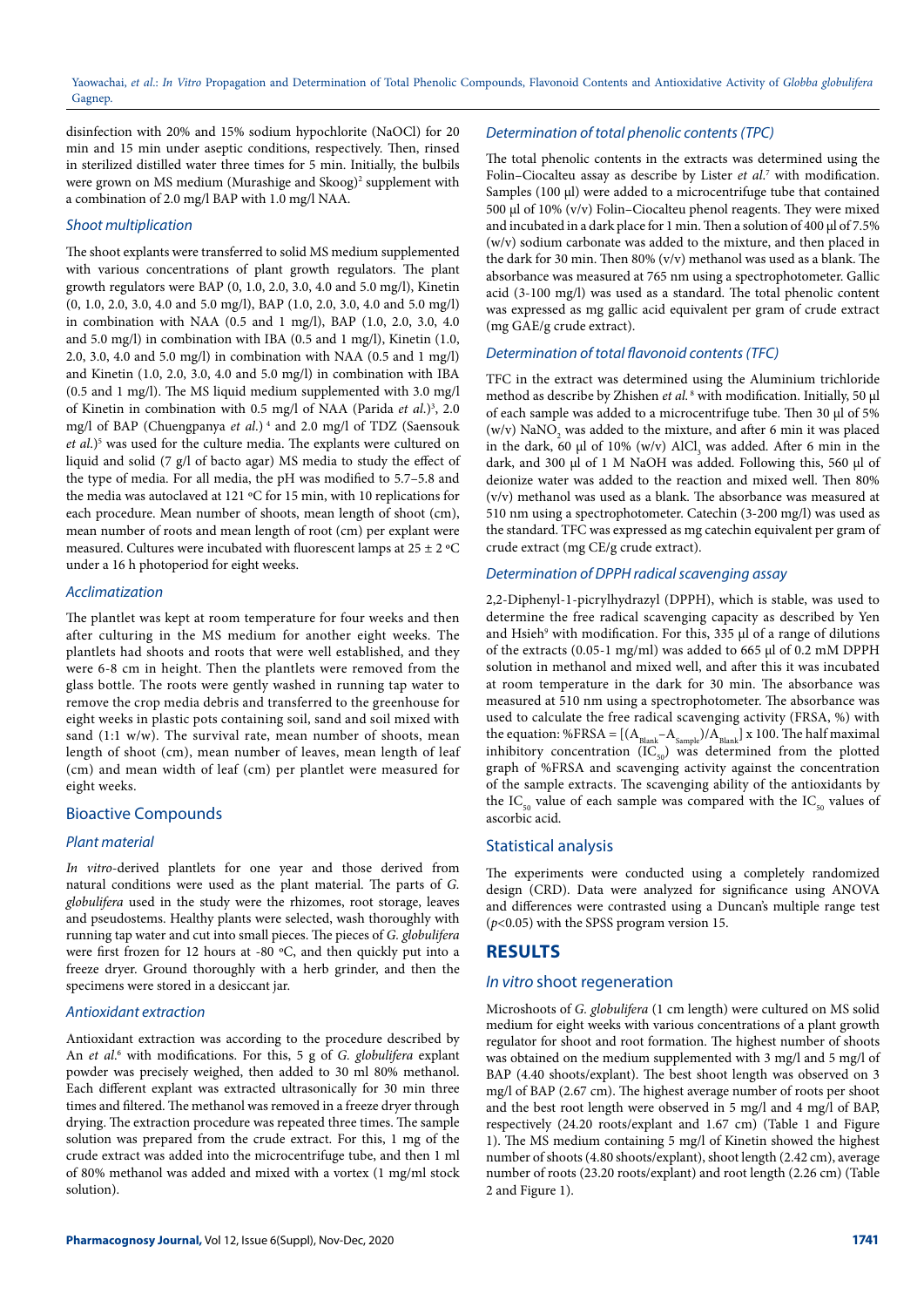disinfection with 20% and 15% sodium hypochlorite (NaOCl) for 20 min and 15 min under aseptic conditions, respectively. Then, rinsed in sterilized distilled water three times for 5 min. Initially, the bulbils were grown on MS medium (Murashige and Skoog)<sup>2</sup> supplement with a combination of 2.0 mg/l BAP with 1.0 mg/l NAA.

#### *Shoot multiplication*

The shoot explants were transferred to solid MS medium supplemented with various concentrations of plant growth regulators. The plant growth regulators were BAP (0, 1.0, 2.0, 3.0, 4.0 and 5.0 mg/l), Kinetin (0, 1.0, 2.0, 3.0, 4.0 and 5.0 mg/l), BAP (1.0, 2.0, 3.0, 4.0 and 5.0 mg/l) in combination with NAA (0.5 and 1 mg/l), BAP (1.0, 2.0, 3.0, 4.0 and 5.0 mg/l) in combination with IBA (0.5 and 1 mg/l), Kinetin (1.0, 2.0, 3.0, 4.0 and 5.0 mg/l) in combination with NAA (0.5 and 1 mg/l) and Kinetin (1.0, 2.0, 3.0, 4.0 and 5.0 mg/l) in combination with IBA (0.5 and 1 mg/l). The MS liquid medium supplemented with 3.0 mg/l of Kinetin in combination with 0.5 mg/l of NAA (Parida *et al.*)<sup>3</sup>, 2.0 mg/l of BAP (Chuengpanya *et al*.) 4 and 2.0 mg/l of TDZ (Saensouk et al.)<sup>5</sup> was used for the culture media. The explants were cultured on liquid and solid (7 g/l of bacto agar) MS media to study the effect of the type of media. For all media, the pH was modified to 5.7–5.8 and the media was autoclaved at 121 ºC for 15 min, with 10 replications for each procedure. Mean number of shoots, mean length of shoot (cm), mean number of roots and mean length of root (cm) per explant were measured. Cultures were incubated with fluorescent lamps at  $25 \pm 2$  °C under a 16 h photoperiod for eight weeks.

#### *Acclimatization*

The plantlet was kept at room temperature for four weeks and then after culturing in the MS medium for another eight weeks. The plantlets had shoots and roots that were well established, and they were 6-8 cm in height. Then the plantlets were removed from the glass bottle. The roots were gently washed in running tap water to remove the crop media debris and transferred to the greenhouse for eight weeks in plastic pots containing soil, sand and soil mixed with sand (1:1 w/w). The survival rate, mean number of shoots, mean length of shoot (cm), mean number of leaves, mean length of leaf (cm) and mean width of leaf (cm) per plantlet were measured for eight weeks.

### Bioactive Compounds

### *Plant material*

*In vitro*-derived plantlets for one year and those derived from natural conditions were used as the plant material. The parts of *G. globulifera* used in the study were the rhizomes, root storage, leaves and pseudostems. Healthy plants were selected, wash thoroughly with running tap water and cut into small pieces. The pieces of *G. globulifera* were first frozen for 12 hours at -80 ºC, and then quickly put into a freeze dryer. Ground thoroughly with a herb grinder, and then the specimens were stored in a desiccant jar.

#### *Antioxidant extraction*

Antioxidant extraction was according to the procedure described by An *et al.*<sup>6</sup> with modifications. For this, 5 g of *G. globulifera* explant powder was precisely weighed, then added to 30 ml 80% methanol. Each different explant was extracted ultrasonically for 30 min three times and filtered. The methanol was removed in a freeze dryer through drying. The extraction procedure was repeated three times. The sample solution was prepared from the crude extract. For this, 1 mg of the crude extract was added into the microcentrifuge tube, and then 1 ml of 80% methanol was added and mixed with a vortex (1 mg/ml stock solution).

## *Determination of total phenolic contents (TPC)*

The total phenolic contents in the extracts was determined using the Folin–Ciocalteu assay as describe by Lister *et al*. 7 with modification. Samples (100 µl) were added to a microcentrifuge tube that contained 500 µl of 10% (v/v) Folin–Ciocalteu phenol reagents. They were mixed and incubated in a dark place for 1 min. Then a solution of 400 µl of 7.5% (w/v) sodium carbonate was added to the mixture, and then placed in the dark for 30 min. Then 80% (v/v) methanol was used as a blank. The absorbance was measured at 765 nm using a spectrophotometer. Gallic acid (3-100 mg/l) was used as a standard. The total phenolic content was expressed as mg gallic acid equivalent per gram of crude extract (mg GAE/g crude extract).

#### *Determination of total flavonoid contents (TFC)*

TFC in the extract was determined using the Aluminium trichloride method as describe by Zhishen et al.<sup>8</sup> with modification. Initially, 50 µl of each sample was added to a microcentrifuge tube. Then 30 µl of 5% (w/v)  $\text{NaNO}_2$  was added to the mixture, and after 6 min it was placed in the dark, 60  $\mu$ l of 10% (w/v) AlCl<sub>3</sub> was added. After 6 min in the dark, and 300 µl of 1 M NaOH was added. Following this, 560 µl of deionize water was added to the reaction and mixed well. Then 80% (v/v) methanol was used as a blank. The absorbance was measured at 510 nm using a spectrophotometer. Catechin (3-200 mg/l) was used as the standard. TFC was expressed as mg catechin equivalent per gram of crude extract (mg CE/g crude extract).

#### *Determination of DPPH radical scavenging assay*

2,2-Diphenyl-1-picrylhydrazyl (DPPH), which is stable, was used to determine the free radical scavenging capacity as described by Yen and Hsieh<sup>9</sup> with modification. For this, 335 µl of a range of dilutions of the extracts (0.05-1 mg/ml) was added to 665 µl of 0.2 mM DPPH solution in methanol and mixed well, and after this it was incubated at room temperature in the dark for 30 min. The absorbance was measured at 510 nm using a spectrophotometer. The absorbance was used to calculate the free radical scavenging activity (FRSA, %) with the equation: %FRSA =  $[(A_{\text{blank}}-A_{\text{Sample}})/A_{\text{blank}}]$  x 100. The half maximal inhibitory concentration  $(IC_{50})$  was determined from the plotted graph of %FRSA and scavenging activity against the concentration of the sample extracts. The scavenging ability of the antioxidants by the IC<sub>50</sub> value of each sample was compared with the IC<sub>50</sub> values of ascorbic acid.

### Statistical analysis

The experiments were conducted using a completely randomized design (CRD). Data were analyzed for significance using ANOVA and differences were contrasted using a Duncan's multiple range test (*p*<0.05) with the SPSS program version 15.

# **RESULTS**

## *In vitro* shoot regeneration

Microshoots of *G. globulifera* (1 cm length) were cultured on MS solid medium for eight weeks with various concentrations of a plant growth regulator for shoot and root formation. The highest number of shoots was obtained on the medium supplemented with 3 mg/l and 5 mg/l of BAP (4.40 shoots/explant). The best shoot length was observed on 3 mg/l of BAP (2.67 cm). The highest average number of roots per shoot and the best root length were observed in 5 mg/l and 4 mg/l of BAP, respectively (24.20 roots/explant and 1.67 cm) (Table 1 and Figure 1). The MS medium containing 5 mg/l of Kinetin showed the highest number of shoots (4.80 shoots/explant), shoot length (2.42 cm), average number of roots (23.20 roots/explant) and root length (2.26 cm) (Table 2 and Figure 1).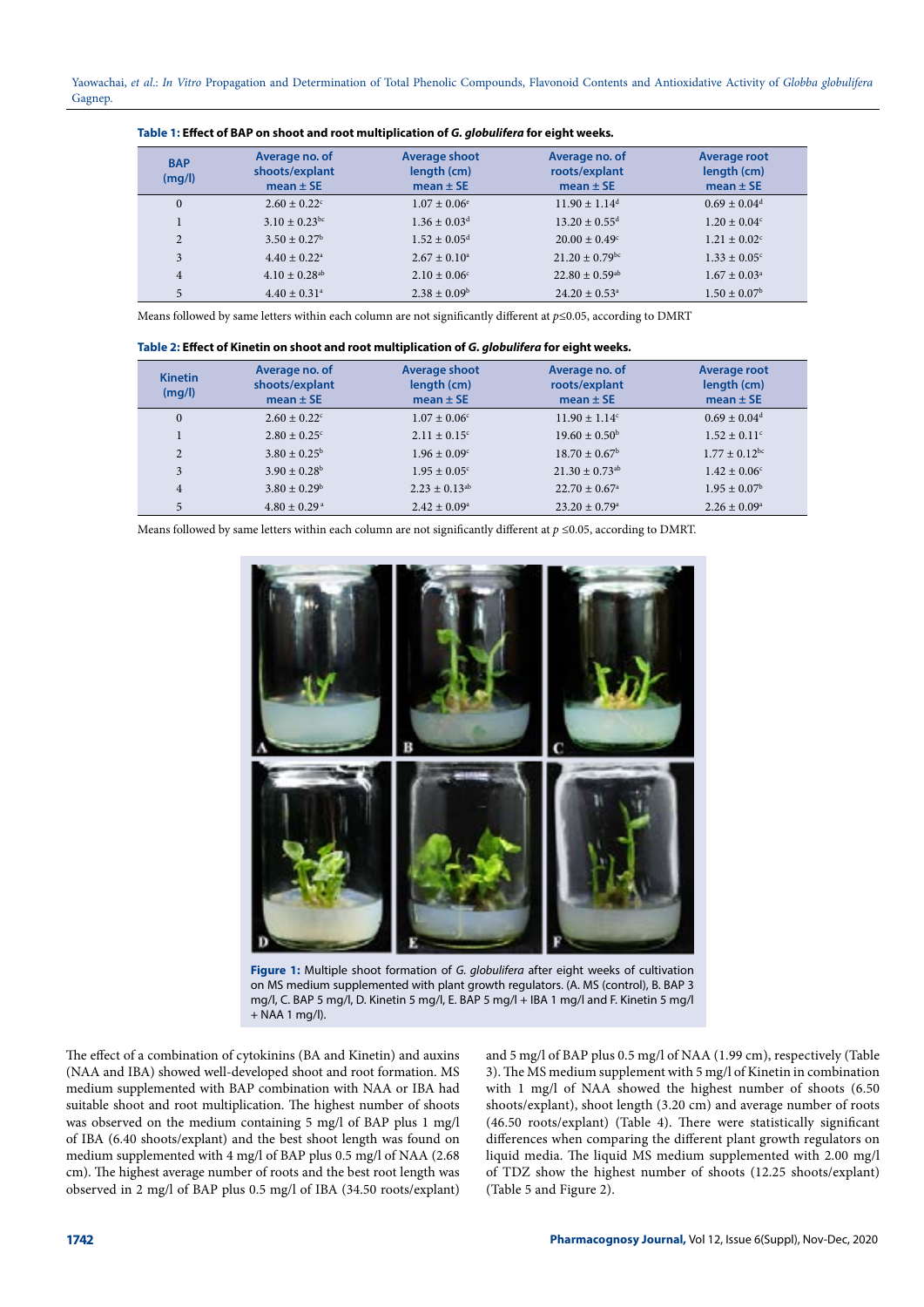| <b>BAP</b><br>(mq/l) | Average no. of<br>shoots/explant<br>mean $\pm$ SE | Average shoot<br>length (cm)<br>mean $\pm$ SE | Average no. of<br>roots/explant<br>mean $\pm$ SE | <b>Average root</b><br>length (cm)<br>mean $\pm$ SE |
|----------------------|---------------------------------------------------|-----------------------------------------------|--------------------------------------------------|-----------------------------------------------------|
| $\mathbf{0}$         | $2.60 + 0.22^{\circ}$                             | $1.07 \pm 0.06^{\circ}$                       | $11.90 \pm 1.14$ <sup>d</sup>                    | $0.69 \pm 0.04$ <sup>d</sup>                        |
| ш                    | $3.10 \pm 0.23$ bc                                | $1.36 \pm 0.03$ <sup>d</sup>                  | $13.20 \pm 0.55$ <sup>d</sup>                    | $1.20 \pm 0.04$ <sup>c</sup>                        |
| $\overline{2}$       | $3.50 \pm 0.27^{\rm b}$                           | $1.52 \pm 0.05$ <sup>d</sup>                  | $20.00 + 0.49^{\circ}$                           | $1.21 \pm 0.02$ <sup>c</sup>                        |
| 3                    | $4.40 \pm 0.22$ <sup>a</sup>                      | $2.67 \pm 0.10^a$                             | $21.20 \pm 0.79$ <sup>bc</sup>                   | $1.33 \pm 0.05$ <sup>c</sup>                        |
| $\overline{4}$       | $4.10 \pm 0.28$ <sup>ab</sup>                     | $2.10 \pm 0.06$ °                             | $22.80 \pm 0.59$ <sup>ab</sup>                   | $1.67 \pm 0.03^{\circ}$                             |
| 5                    | $4.40 \pm 0.31$ <sup>a</sup>                      | $2.38 \pm 0.09^{\rm b}$                       | $24.20 \pm 0.53$ <sup>a</sup>                    | $1.50 \pm 0.07^{\rm b}$                             |

**Table 1: Effect of BAP on shoot and root multiplication of** *G. globulifera* **for eight weeks***.*

Means followed by same letters within each column are not significantly different at *p*≤0.05, according to DMRT

| <b>Kinetin</b><br>(mq/l) | Average no. of<br>shoots/explant<br>mean $\pm$ SE | <b>Average shoot</b><br>length (cm)<br>mean $\pm$ SE | Average no. of<br>roots/explant<br>mean $\pm$ SE | Average root<br>length (cm)<br>mean $\pm$ SE |
|--------------------------|---------------------------------------------------|------------------------------------------------------|--------------------------------------------------|----------------------------------------------|
| $\Omega$                 | $2.60 \pm 0.22$ <sup>c</sup>                      | $1.07 \pm 0.06$ <sup>c</sup>                         | $11.90 \pm 1.14$ <sup>c</sup>                    | $0.69 \pm 0.04$ <sup>d</sup>                 |
|                          | $2.80 \pm 0.25$ <sup>c</sup>                      | $2.11 \pm 0.15$ <sup>c</sup>                         | $19.60 \pm 0.50^{\circ}$                         | $1.52 \pm 0.11^{\circ}$                      |
| 2                        | $3.80 \pm 0.25^{\circ}$                           | $1.96 \pm 0.09$ <sup>c</sup>                         | $18.70 \pm 0.67^{\rm b}$                         | $1.77 \pm 0.12$ <sup>bc</sup>                |
| 3                        | $3.90 \pm 0.28^{\rm b}$                           | $1.95 \pm 0.05^{\circ}$                              | $21.30 \pm 0.73$ <sup>ab</sup>                   | $1.42 \pm 0.06$ <sup>c</sup>                 |
| $\overline{4}$           | $3.80 \pm 0.29^{\rm b}$                           | $2.23 \pm 0.13$ <sup>ab</sup>                        | $22.70 \pm 0.67$ <sup>a</sup>                    | $1.95 \pm 0.07^{\rm b}$                      |
| 5                        | $4.80 \pm 0.29$ <sup>a</sup>                      | $2.42 \pm 0.09^{\text{a}}$                           | $23.20 \pm 0.79$ <sup>a</sup>                    | $2.26 \pm 0.09^{\circ}$                      |

Means followed by same letters within each column are not significantly different at  $p \le 0.05$ , according to DMRT.



**Figure 1:** Multiple shoot formation of *G. globulifera* after eight weeks of cultivation on MS medium supplemented with plant growth regulators. (A. MS (control), B. BAP 3 mg/l, C. BAP 5 mg/l, D. Kinetin 5 mg/l, E. BAP 5 mg/l + IBA 1 mg/l and F. Kinetin 5 mg/l  $+$  NAA 1 mg/l).

The effect of a combination of cytokinins (BA and Kinetin) and auxins (NAA and IBA) showed well-developed shoot and root formation. MS medium supplemented with BAP combination with NAA or IBA had suitable shoot and root multiplication. The highest number of shoots was observed on the medium containing 5 mg/l of BAP plus 1 mg/l of IBA (6.40 shoots/explant) and the best shoot length was found on medium supplemented with 4 mg/l of BAP plus 0.5 mg/l of NAA (2.68 cm). The highest average number of roots and the best root length was observed in 2 mg/l of BAP plus 0.5 mg/l of IBA (34.50 roots/explant)

and 5 mg/l of BAP plus 0.5 mg/l of NAA (1.99 cm), respectively (Table 3). The MS medium supplement with 5 mg/l of Kinetin in combination with 1 mg/l of NAA showed the highest number of shoots (6.50 shoots/explant), shoot length (3.20 cm) and average number of roots (46.50 roots/explant) (Table 4). There were statistically significant differences when comparing the different plant growth regulators on liquid media. The liquid MS medium supplemented with 2.00 mg/l of TDZ show the highest number of shoots (12.25 shoots/explant) (Table 5 and Figure 2).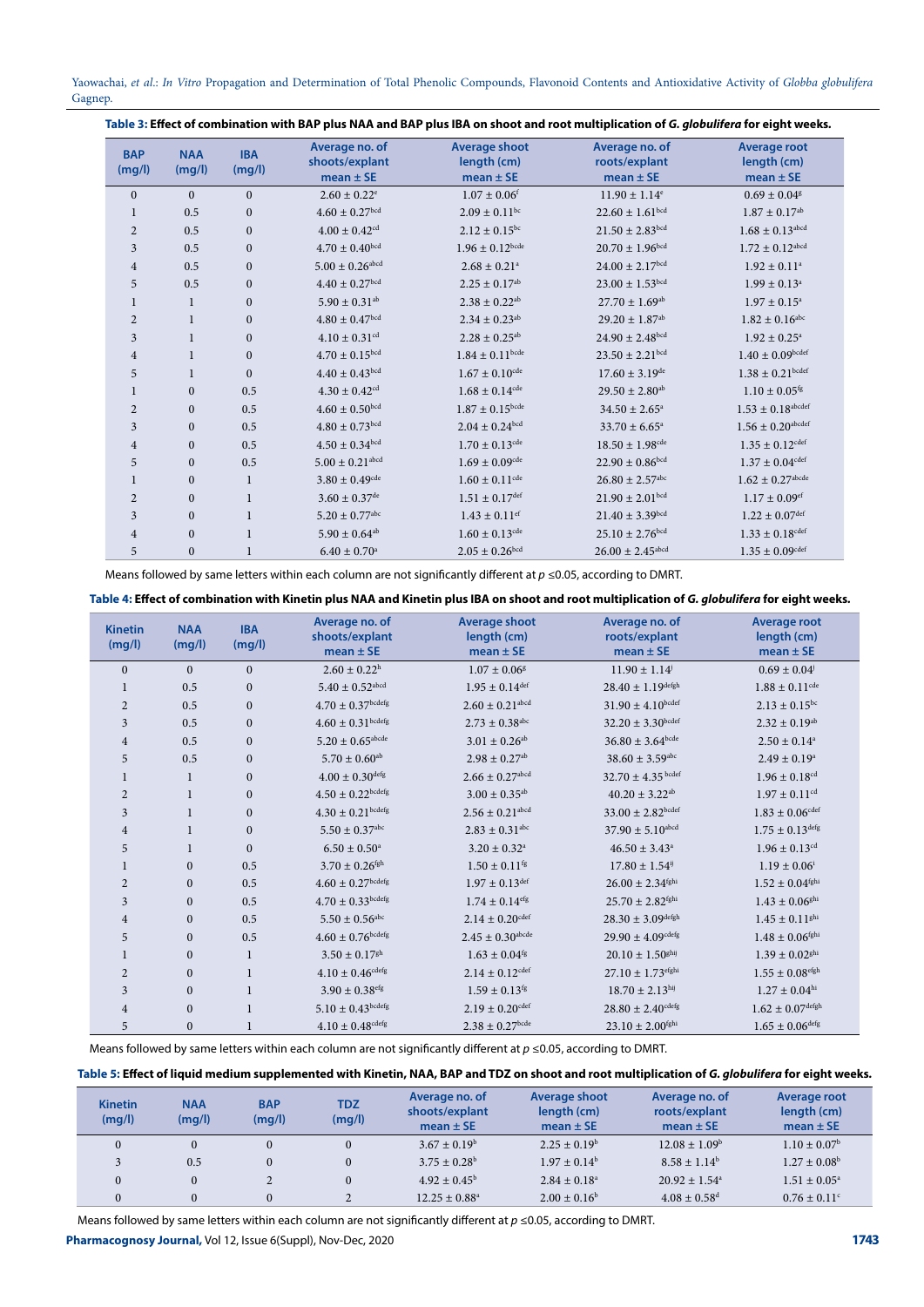| <b>BAP</b><br>(mg/l) | <b>NAA</b><br>(mg/l) | <b>IBA</b><br>(mq/l) | Average no. of<br>shoots/explant<br>mean $\pm$ SE | <b>Average shoot</b><br>length (cm)<br>$mean \pm SE$ | Average no. of<br>roots/explant<br>mean $\pm$ SE | Average root<br>length (cm)<br>mean $\pm$ SE |
|----------------------|----------------------|----------------------|---------------------------------------------------|------------------------------------------------------|--------------------------------------------------|----------------------------------------------|
| $\Omega$             | $\Omega$             | $\mathbf{0}$         | $2.60 \pm 0.22$ <sup>e</sup>                      | $1.07 \pm 0.06$ <sup>f</sup>                         | $11.90 \pm 1.14$ <sup>e</sup>                    | $0.69 \pm 0.04$ <sup>g</sup>                 |
| 1                    | 0.5                  | $\mathbf{0}$         | $4.60 \pm 0.27$ bcd                               | $2.09 \pm 0.11$ bc                                   | $22.60 \pm 1.61$ bcd                             | $1.87 \pm 0.17$ <sup>ab</sup>                |
| $\overline{2}$       | 0.5                  | $\mathbf{0}$         | $4.00 \pm 0.42$ <sup>cd</sup>                     | $2.12 \pm 0.15^{bc}$                                 | $21.50 \pm 2.83$ bcd                             | $1.68 \pm 0.13$ <sup>abcd</sup>              |
| 3                    | 0.5                  | $\mathbf{0}$         | $4.70 \pm 0.40^{bcd}$                             | $1.96 \pm 0.12$ bcde                                 | $20.70 \pm 1.96$ bcd                             | $1.72 \pm 0.12$ <sup>abcd</sup>              |
| 4                    | 0.5                  | $\mathbf{0}$         | $5.00 \pm 0.26$ abcd                              | $2.68 \pm 0.21$ <sup>a</sup>                         | $24.00 \pm 2.17$ bcd                             | $1.92 \pm 0.11$ <sup>a</sup>                 |
| 5                    | 0.5                  | $\boldsymbol{0}$     | $4.40 \pm 0.27$ bcd                               | $2.25 \pm 0.17$ <sup>ab</sup>                        | $23.00 \pm 1.53$ bcd                             | $1.99 \pm 0.13^a$                            |
| $\mathbf{1}$         | 1                    | $\mathbf{0}$         | $5.90 \pm 0.31$ <sup>ab</sup>                     | $2.38 \pm 0.22$ <sup>ab</sup>                        | $27.70 \pm 1.69$ <sup>ab</sup>                   | $1.97 \pm 0.15^{\circ}$                      |
| $\overline{2}$       | 1                    | $\mathbf{0}$         | $4.80 \pm 0.47$ bcd                               | $2.34 \pm 0.23$ <sup>ab</sup>                        | $29.20 \pm 1.87$ <sup>ab</sup>                   | $1.82 \pm 0.16^{\text{abc}}$                 |
| 3                    | $\mathbf{1}$         | $\mathbf{0}$         | $4.10 \pm 0.31$ <sup>cd</sup>                     | $2.28 \pm 0.25^{ab}$                                 | $24.90 \pm 2.48$ bcd                             | $1.92 \pm 0.25^{\circ}$                      |
| 4                    |                      | $\mathbf{0}$         | $4.70 \pm 0.15$ bcd                               | $1.84 \pm 0.11$ <sup>bcde</sup>                      | $23.50 \pm 2.21$ <sub>bcd</sub>                  | $1.40 \pm 0.09$ bcdef                        |
| 5                    | $\mathbf{1}$         | $\Omega$             | $4.40 \pm 0.43$ bcd                               | $1.67 \pm 0.10$ <sup>cde</sup>                       | $17.60 \pm 3.19$ <sup>de</sup>                   | $1.38 \pm 0.21$ bcdef                        |
| 1                    | $\mathbf{0}$         | 0.5                  | $4.30 \pm 0.42$ <sup>cd</sup>                     | $1.68 \pm 0.14$ <sup>cde</sup>                       | $29.50 \pm 2.80$ <sup>ab</sup>                   | $1.10 \pm 0.05$ <sup>fg</sup>                |
| $\overline{2}$       | $\Omega$             | 0.5                  | $4.60\pm0.50^{\rm bcd}$                           | $1.87 \pm 0.15$ <sub>bcde</sub>                      | $34.50 \pm 2.65^{\circ}$                         | $1.53 \pm 0.18$ <sup>abcdef</sup>            |
| 3                    | $\Omega$             | 0.5                  | $4.80 \pm 0.73$ bcd                               | $2.04 + 0.24$ <sub>bcd</sub>                         | $33.70 \pm 6.65^{\circ}$                         | $1.56 \pm 0.20$ <sup>abcdef</sup>            |
| $\overline{4}$       | $\mathbf{0}$         | 0.5                  | $4.50 \pm 0.34$ bcd                               | $1.70 \pm 0.13$ <sup>cde</sup>                       | $18.50 \pm 1.98$ <sup>cde</sup>                  | $1.35 \pm 0.12$ <sup>cdef</sup>              |
| 5                    | $\mathbf{0}$         | 0.5                  | $5.00 \pm 0.21$ <sup>abcd</sup>                   | $1.69 \pm 0.09$ <sup>cde</sup>                       | $22.90 \pm 0.86$ bcd                             | $1.37 \pm 0.04$ <sup>cdef</sup>              |
| 1                    | $\mathbf{0}$         | 1                    | $3.80 \pm 0.49$ <sup>cde</sup>                    | $1.60 \pm 0.11$ <sup>cde</sup>                       | $26.80 \pm 2.57$ <sup>abc</sup>                  | $1.62 \pm 0.27$ <sup>abcde</sup>             |
| $\overline{2}$       | $\mathbf{0}$         | $\mathbf{1}$         | $3.60 \pm 0.37$ <sup>de</sup>                     | $1.51 \pm 0.17$ <sup>def</sup>                       | $21.90 \pm 2.01$ <sub>bcd</sub>                  | $1.17 \pm 0.09$ <sup>ef</sup>                |
| 3                    | $\mathbf{0}$         | $\mathbf{1}$         | $5.20 \pm 0.77$ <sup>abc</sup>                    | $1.43 \pm 0.11$ <sup>ef</sup>                        | $21.40 \pm 3.39$ bcd                             | $1.22 \pm 0.07^{\text{def}}$                 |
| 4                    | $\mathbf{0}$         | $\mathbf{1}$         | $5.90 \pm 0.64$ <sup>ab</sup>                     | $1.60 \pm 0.13$ <sup>cde</sup>                       | $25.10 \pm 2.76$ bcd                             | $1.33 \pm 0.18$ <sup>cdef</sup>              |
| 5                    | $\mathbf{0}$         | $\mathbf{1}$         | $6.40 \pm 0.70$ <sup>a</sup>                      | $2.05 + 0.26$ <sub>bcd</sub>                         | $26.00 \pm 2.45$ <sup>abcd</sup>                 | $1.35 \pm 0.09$ <sup>cdef</sup>              |

Means followed by same letters within each column are not significantly different at *p* ≤0.05, according to DMRT.

Table 4: Effect of combination with Kinetin plus NAA and Kinetin plus IBA on shoot and root multiplication of *G. globulifera* for eight weeks.

| <b>Kinetin</b><br>(mg/l) | <b>NAA</b><br>(mg/l) | <b>IBA</b><br>(mg/l) | Average no. of<br>shoots/explant<br>$mean \pm SE$ | Average shoot<br>length (cm)<br>$mean \pm SE$ | Average no. of<br>roots/explant<br>mean $\pm$ SE | <b>Average root</b><br>length (cm)<br>mean $\pm$ SE |
|--------------------------|----------------------|----------------------|---------------------------------------------------|-----------------------------------------------|--------------------------------------------------|-----------------------------------------------------|
| $\Omega$                 | $\Omega$             | $\Omega$             | $2.60 \pm 0.22^{\rm h}$                           | $1.07 \pm 0.06$ <sup>g</sup>                  | $11.90 \pm 1.14$                                 | $0.69 \pm 0.04$                                     |
| 1                        | 0.5                  | $\mathbf{0}$         | $5.40 \pm 0.52$ <sup>abcd</sup>                   | $1.95 \pm 0.14$ <sup>def</sup>                | $28.40 \pm 1.19^{\text{defgh}}$                  | $1.88 \pm 0.11$ <sup>cde</sup>                      |
| $\overline{2}$           | 0.5                  | $\mathbf{0}$         | $4.70 \pm 0.37$ bcdefg                            | $2.60 \pm 0.21$ <sup>abcd</sup>               | $31.90 \pm 4.10^{bcdef}$                         | $2.13 \pm 0.15^{bc}$                                |
| 3                        | 0.5                  | $\overline{0}$       | $4.60 \pm 0.31$ bcdefg                            | $2.73 \pm 0.38$ <sup>abc</sup>                | $32.20 \pm 3.30$ bcdef                           | $2.32 \pm 0.19$ <sup>ab</sup>                       |
| $\overline{4}$           | 0.5                  | $\mathbf{0}$         | $5.20 \pm 0.65^{\rm abcde}$                       | $3.01 \pm 0.26^{ab}$                          | $36.80 \pm 3.64$ <sub>bcde</sub>                 | $2.50 \pm 0.14$ <sup>a</sup>                        |
| 5                        | 0.5                  | $\Omega$             | $5.70 \pm 0.60$ <sup>ab</sup>                     | $2.98 \pm 0.27$ <sup>ab</sup>                 | $38.60 \pm 3.59$ abc                             | $2.49 \pm 0.19$ <sup>a</sup>                        |
|                          | $\mathbf{1}$         | $\mathbf{0}$         | $4.00 \pm 0.30$ <sup>defg</sup>                   | $2.66 \pm 0.27$ <sup>abcd</sup>               | $32.70 \pm 4.35$ bcdef                           | $1.96 \pm 0.18$ <sup>cd</sup>                       |
| $\overline{2}$           | $\mathbf{1}$         | $\mathbf{0}$         | $4.50 \pm 0.22$ bcdefg                            | $3.00 \pm 0.35^{ab}$                          | $40.20 \pm 3.22$ <sup>ab</sup>                   | $1.97 \pm 0.11$ <sup>cd</sup>                       |
| $\overline{3}$           | $\mathbf{1}$         | $\mathbf{0}$         | $4.30 \pm 0.21$ bcdefg                            | $2.56 \pm 0.21$ <sup>abcd</sup>               | $33.00 \pm 2.82$ bcdef                           | $1.83 \pm 0.06$ <sup>cdef</sup>                     |
| $\overline{4}$           | $\mathbf{1}$         | $\mathbf{0}$         | $5.50 \pm 0.37$ <sup>abc</sup>                    | $2.83 \pm 0.31$ <sup>abc</sup>                | $37.90 \pm 5.10$ <sup>abcd</sup>                 | $1.75 \pm 0.13$ <sup>defg</sup>                     |
| 5                        | $\mathbf{1}$         | $\mathbf{0}$         | $6.50 \pm 0.50^{\text{a}}$                        | $3.20 \pm 0.32$ <sup>a</sup>                  | $46.50 \pm 3.43^{\circ}$                         | $1.96 \pm 0.13$ <sup>cd</sup>                       |
|                          | $\mathbf{0}$         | 0.5                  | $3.70 \pm 0.26$ <sup>fgh</sup>                    | $1.50 \pm 0.11$ <sup>fg</sup>                 | $17.80 \pm 1.54$ <sup>ij</sup>                   | $1.19 \pm 0.06^{\mathrm{i}}$                        |
| $\overline{2}$           | $\mathbf{0}$         | 0.5                  | $4.60 \pm 0.27$ bcdefg                            | $1.97 \pm 0.13^{\text{def}}$                  | $26.00 \pm 2.34^{\rm fghi}$                      | $1.52 \pm 0.04^{\rm fghi}$                          |
| 3                        | $\mathbf{0}$         | 0.5                  | $4.70 \pm 0.33$ bcdefg                            | $1.74 \pm 0.14$ <sup>efg</sup>                | $25.70 \pm 2.82$ <sup>fghi</sup>                 | $1.43 \pm 0.06$ <sup>ghi</sup>                      |
| $\overline{4}$           | $\mathbf{0}$         | 0.5                  | $5.50 \pm 0.56$ <sup>abc</sup>                    | $2.14 \pm 0.20$ <sup>cdef</sup>               | $28.30 \pm 3.09$ defgh                           | $1.45 \pm 0.11$ <sup>ghi</sup>                      |
| 5                        | $\overline{0}$       | 0.5                  | $4.60 \pm 0.76$ bcdefg                            | $2.45 \pm 0.30^{\text{abcde}}$                | $29.90 \pm 4.09$ <sup>cdefg</sup>                | $1.48 \pm 0.06$ <sup>fghi</sup>                     |
| 1                        | $\mathbf{0}$         | $\mathbf{1}$         | $3.50 \pm 0.17$ <sup>gh</sup>                     | $1.63 \pm 0.04$ <sup>fg</sup>                 | $20.10 \pm 1.50$ <sup>ghij</sup>                 | $1.39 \pm 0.02$ <sup>ghi</sup>                      |
| $\overline{2}$           | $\mathbf{0}$         | $\mathbf{1}$         | $4.10 \pm 0.46^{\text{cdefg}}$                    | $2.14 \pm 0.12$ <sup>cdef</sup>               | $27.10 \pm 1.73$ efghi                           | $1.55 \pm 0.08^{\text{efgh}}$                       |
| 3                        | $\mathbf{0}$         | $\mathbf{1}$         | $3.90 \pm 0.38$ <sup>efg</sup>                    | $1.59 \pm 0.13$ <sup>fg</sup>                 | $18.70 \pm 2.13$ hij                             | $1.27 \pm 0.04^{\text{hi}}$                         |
| $\overline{4}$           | $\mathbf{0}$         |                      | $5.10 \pm 0.43$ bcdefg                            | $2.19 \pm 0.20$ <sup>cdef</sup>               | $28.80 \pm 2.40^{\text{cdefg}}$                  | $1.62 \pm 0.07^{\rm defgh}$                         |
| 5                        | $\mathbf{0}$         |                      | $4.10 \pm 0.48$ <sup>cdefg</sup>                  | $2.38 \pm 0.27$ bcde                          | $23.10 \pm 2.00$ <sup>fghi</sup>                 | $1.65 \pm 0.06$ <sup>defg</sup>                     |

Means followed by same letters within each column are not significantly different at *p* ≤0.05, according to DMRT.

#### Table 5: Effect of liquid medium supplemented with Kinetin, NAA, BAP and TDZ on shoot and root multiplication of *G. globulifera* for eight weeks.

| <b>Kinetin</b><br>(mq/l) | <b>NAA</b><br>(mq/l) | <b>BAP</b><br>(mq/l) | <b>TDZ</b><br>(mg/l) | Average no. of<br>shoots/explant<br>mean $\pm$ SE | Average shoot<br>length (cm)<br>mean $\pm$ SE | Average no. of<br>roots/explant<br>mean $\pm$ SE | Average root<br>length (cm)<br>mean $\pm$ SE |
|--------------------------|----------------------|----------------------|----------------------|---------------------------------------------------|-----------------------------------------------|--------------------------------------------------|----------------------------------------------|
|                          | $\Omega$             | $\Omega$             | $\Omega$             | $3.67 \pm 0.19^{\rm b}$                           | $2.25 \pm 0.19^{\circ}$                       | $12.08 \pm 1.09^{\circ}$                         | $1.10 \pm 0.07^{\rm b}$                      |
|                          | 0.5                  | $\Omega$             | $\Omega$             | $3.75 \pm 0.28^b$                                 | $1.97 \pm 0.14^b$                             | $8.58 \pm 1.14^b$                                | $1.27 \pm 0.08^{\rm b}$                      |
|                          | $\Omega$             | 2                    | $\Omega$             | $4.92 \pm 0.45^{\rm b}$                           | $2.84 \pm 0.18$ <sup>a</sup>                  | $20.92 \pm 1.54$ <sup>a</sup>                    | $1.51 \pm 0.05^{\circ}$                      |
|                          | $\Omega$             | $\Omega$             | $\gamma$             | $12.25 \pm 0.88$ <sup>a</sup>                     | $2.00 \pm 0.16^{\circ}$                       | $4.08 \pm 0.58$ <sup>d</sup>                     | $0.76 \pm 0.11$ °                            |

**Pharmacognosy Journal,** Vol 12, Issue 6(Suppl), Nov-Dec, 2020 Means followed by same letters within each column are not significantly different at *p* ≤0.05, according to DMRT.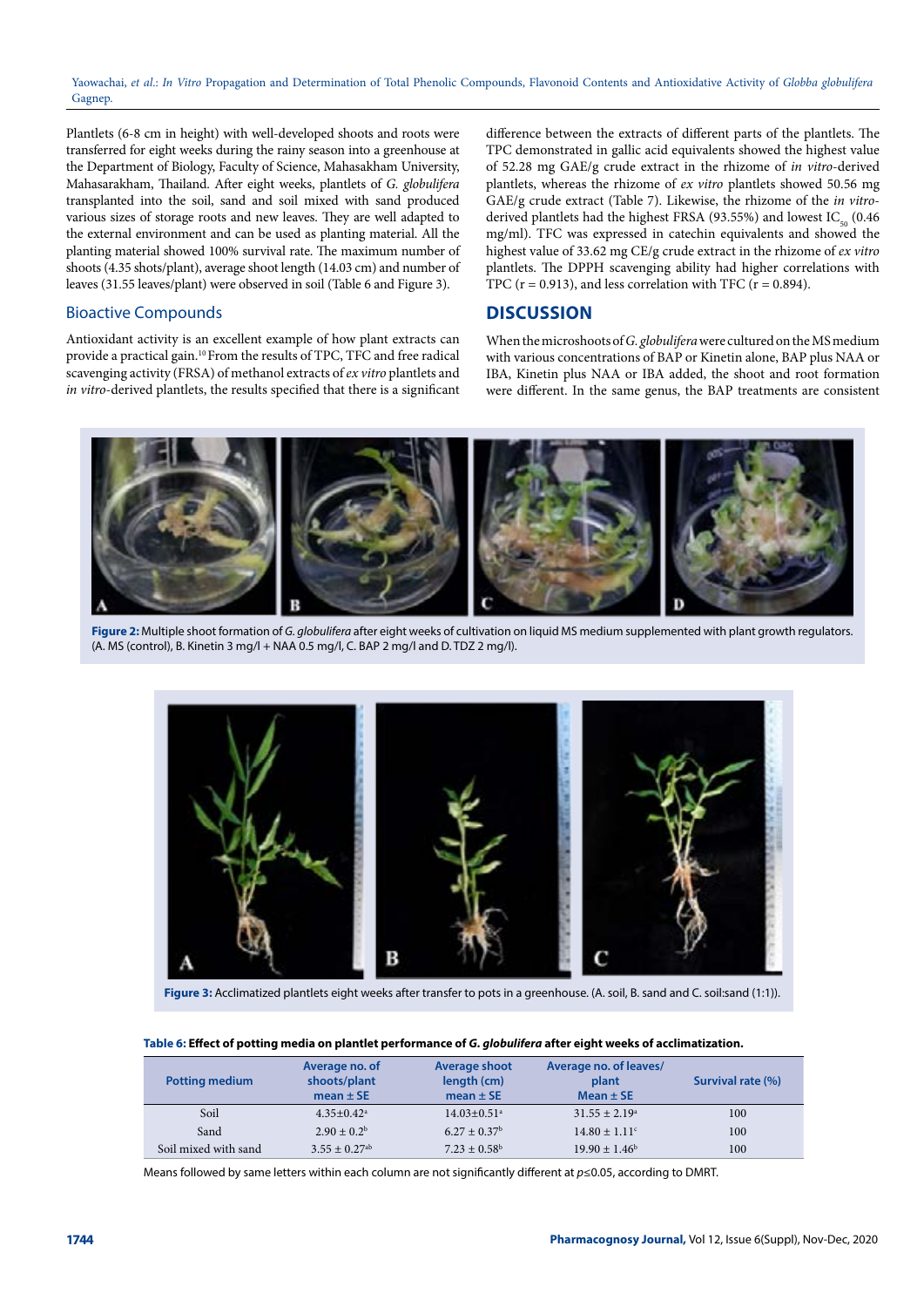Plantlets (6-8 cm in height) with well-developed shoots and roots were transferred for eight weeks during the rainy season into a greenhouse at the Department of Biology, Faculty of Science, Mahasakham University, Mahasarakham, Thailand. After eight weeks, plantlets of *G. globulifera* transplanted into the soil, sand and soil mixed with sand produced various sizes of storage roots and new leaves. They are well adapted to the external environment and can be used as planting material. All the planting material showed 100% survival rate. The maximum number of shoots (4.35 shots/plant), average shoot length (14.03 cm) and number of leaves (31.55 leaves/plant) were observed in soil (Table 6 and Figure 3).

#### Bioactive Compounds

Antioxidant activity is an excellent example of how plant extracts can provide a practical gain.10 From the results of TPC, TFC and free radical scavenging activity (FRSA) of methanol extracts of *ex vitro* plantlets and *in vitro*-derived plantlets, the results specified that there is a significant

difference between the extracts of different parts of the plantlets. The TPC demonstrated in gallic acid equivalents showed the highest value of 52.28 mg GAE/g crude extract in the rhizome of *in vitro*-derived plantlets, whereas the rhizome of *ex vitro* plantlets showed 50.56 mg GAE/g crude extract (Table 7). Likewise, the rhizome of the *in vitro*derived plantlets had the highest FRSA (93.55%) and lowest  $IC_{50}$  (0.46 mg/ml). TFC was expressed in catechin equivalents and showed the highest value of 33.62 mg CE/g crude extract in the rhizome of *ex vitro*  plantlets. The DPPH scavenging ability had higher correlations with TPC ( $r = 0.913$ ), and less correlation with TFC ( $r = 0.894$ ).

## **DISCUSSION**

When the microshoots of *G. globulifera* were cultured on the MS medium with various concentrations of BAP or Kinetin alone, BAP plus NAA or IBA, Kinetin plus NAA or IBA added, the shoot and root formation were different. In the same genus, the BAP treatments are consistent



**Figure 2:** Multiple shoot formation of *G. globulifera* after eight weeks of cultivation on liquid MS medium supplemented with plant growth regulators.  $(A. MS (control), B. Kinetin 3 mg/l + NAA 0.5 mg/l, C. BAP 2 mg/l and D. TDZ 2 mg/l).$ 



**Figure 3:** Acclimatized plantlets eight weeks after transfer to pots in a greenhouse. (A. soil, B. sand and C. soil:sand (1:1)).

#### **Table 6: Effect of potting media on plantlet performance of** *G. globulifera* **after eight weeks of acclimatization.**

| <b>Potting medium</b> | Average no. of<br>shoots/plant<br>mean $\pm$ SE | <b>Average shoot</b><br>length (cm)<br>mean $\pm$ SE | Average no. of leaves/<br>plant<br>Mean $\pm$ SE | Survival rate (%) |
|-----------------------|-------------------------------------------------|------------------------------------------------------|--------------------------------------------------|-------------------|
| Soil                  | $4.35+0.42^a$                                   | $14.03 + 0.51$ <sup>a</sup>                          | $31.55 \pm 2.19^{\circ}$                         | 100               |
| Sand                  | $2.90 \pm 0.2^b$                                | $6.27 \pm 0.37^{\rm b}$                              | $14.80 \pm 1.11$ <sup>c</sup>                    | 100               |
| Soil mixed with sand  | $3.55 + 0.27$ <sup>ab</sup>                     | $7.23 + 0.58^b$                                      | $19.90 \pm 1.46^{\circ}$                         | 100               |

Means followed by same letters within each column are not significantly different at *p*≤0.05, according to DMRT.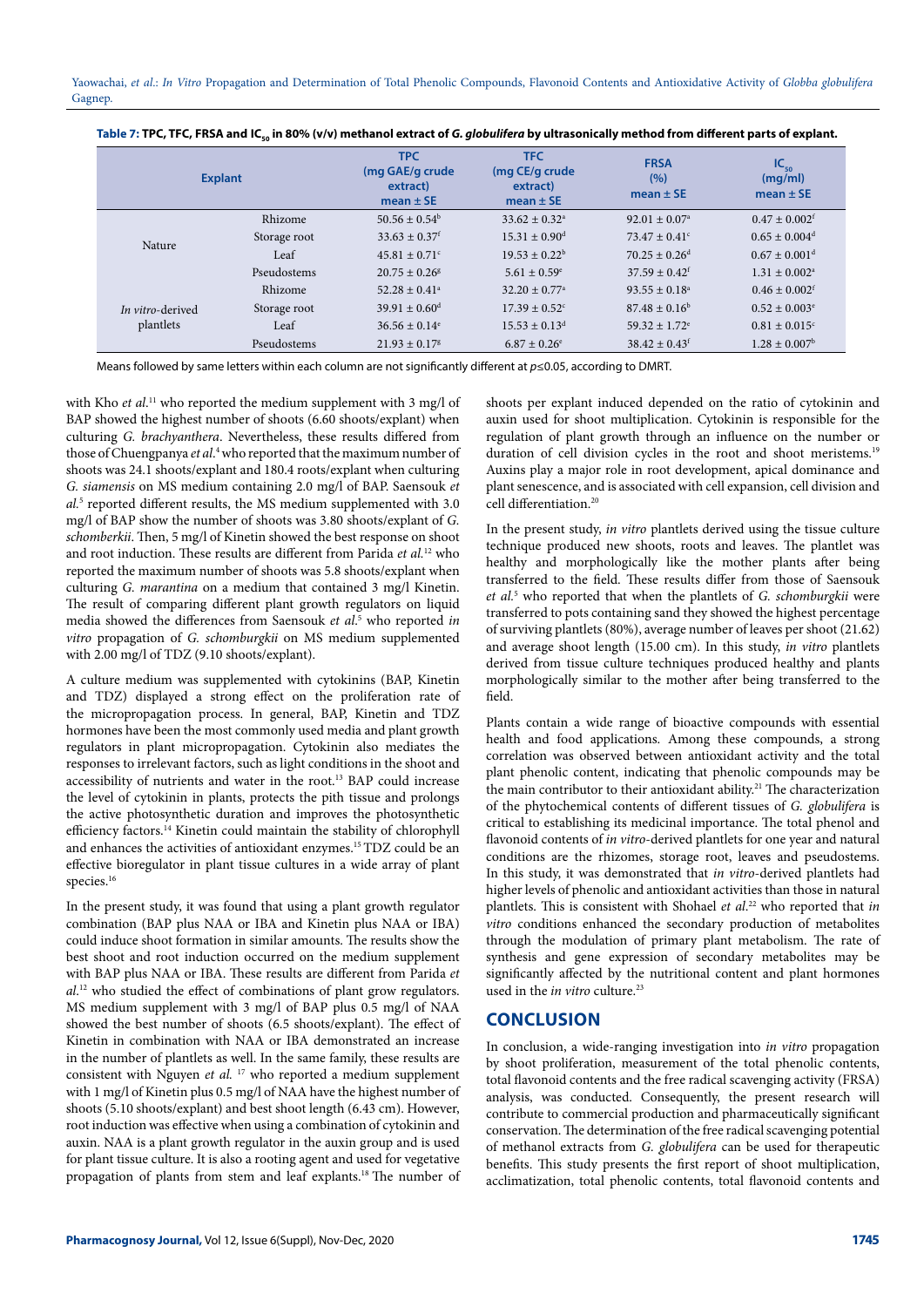| <b>Explant</b>   |              | <b>TPC</b><br>(mg GAE/g crude<br>extract)<br>mean $\pm$ SE | <b>TFC</b><br>(mg CE/g crude<br>extract)<br>mean $\pm$ SE | <b>FRSA</b><br>(%)<br>mean $\pm$ SE | $IC_{50}$<br>(mg/ml)<br>mean $\pm$ SE |
|------------------|--------------|------------------------------------------------------------|-----------------------------------------------------------|-------------------------------------|---------------------------------------|
|                  | Rhizome      | $50.56 \pm 0.54^b$                                         | $33.62 \pm 0.32^{\circ}$                                  | $92.01 \pm 0.07^{\circ}$            | $0.47 \pm 0.002$ <sup>f</sup>         |
| Nature           | Storage root | $33.63 \pm 0.37$ <sup>f</sup>                              | $15.31 \pm 0.90$ <sup>d</sup>                             | $73.47 \pm 0.41$ <sup>c</sup>       | $0.65 \pm 0.004$ <sup>d</sup>         |
|                  | Leaf         | $45.81 \pm 0.71$ <sup>c</sup>                              | $19.53 \pm 0.22^b$                                        | $70.25 \pm 0.26$ <sup>d</sup>       | $0.67 \pm 0.001$ <sup>d</sup>         |
|                  | Pseudostems  | $20.75 + 0.26$ <sup>g</sup>                                | $5.61 \pm 0.59$ <sup>e</sup>                              | $37.59 \pm 0.42$ <sup>f</sup>       | $1.31 \pm 0.002^{\text{a}}$           |
|                  | Rhizome      | $52.28 \pm 0.41$ <sup>a</sup>                              | $32.20 \pm 0.77$ <sup>a</sup>                             | $93.55 \pm 0.18^a$                  | $0.46 \pm 0.002$ <sup>f</sup>         |
| In vitro-derived | Storage root | $39.91 \pm 0.60^{\text{d}}$                                | $17.39 + 0.52^{\circ}$                                    | $87.48 \pm 0.16^b$                  | $0.52 \pm 0.003$ <sup>e</sup>         |
| plantlets        | Leaf         | $36.56 \pm 0.14$ <sup>e</sup>                              | $15.53 \pm 0.13^{\text{d}}$                               | $59.32 \pm 1.72$ <sup>e</sup>       | $0.81 \pm 0.015$ <sup>c</sup>         |
|                  | Pseudostems  | $21.93 + 0.17$ <sup>g</sup>                                | $6.87 \pm 0.26$ <sup>e</sup>                              | $38.42 \pm 0.43$ <sup>f</sup>       | $1.28 \pm 0.007^{\rm b}$              |

Table 7: TPC, TFC, FRSA and IC<sub>50</sub> in 80% (v/v) methanol extract of *G. globulifera* by ultrasonically method from different parts of explant.

Means followed by same letters within each column are not significantly different at *p*≤0.05, according to DMRT.

with Kho *et al*. 11 who reported the medium supplement with 3 mg/l of BAP showed the highest number of shoots (6.60 shoots/explant) when culturing *G. brachyanthera*. Nevertheless, these results differed from those of Chuengpanya *et al*. 4 who reported that the maximum number of shoots was 24.1 shoots/explant and 180.4 roots/explant when culturing *G. siamensis* on MS medium containing 2.0 mg/l of BAP. Saensouk *et al.*<sup>5</sup> reported different results, the MS medium supplemented with 3.0 mg/l of BAP show the number of shoots was 3.80 shoots/explant of *G. schomberkii*. Then, 5 mg/l of Kinetin showed the best response on shoot and root induction. These results are different from Parida *et al.*12 who reported the maximum number of shoots was 5.8 shoots/explant when culturing *G. marantina* on a medium that contained 3 mg/l Kinetin. The result of comparing different plant growth regulators on liquid media showed the differences from Saensouk *et al*. 5 who reported *in vitro* propagation of *G. schomburgkii* on MS medium supplemented with 2.00 mg/l of TDZ (9.10 shoots/explant).

A culture medium was supplemented with cytokinins (BAP, Kinetin and TDZ) displayed a strong effect on the proliferation rate of the micropropagation process. In general, BAP, Kinetin and TDZ hormones have been the most commonly used media and plant growth regulators in plant micropropagation. Cytokinin also mediates the responses to irrelevant factors, such as light conditions in the shoot and accessibility of nutrients and water in the root.13 BAP could increase the level of cytokinin in plants, protects the pith tissue and prolongs the active photosynthetic duration and improves the photosynthetic efficiency factors.<sup>14</sup> Kinetin could maintain the stability of chlorophyll and enhances the activities of antioxidant enzymes.15 TDZ could be an effective bioregulator in plant tissue cultures in a wide array of plant species.<sup>16</sup>

In the present study, it was found that using a plant growth regulator combination (BAP plus NAA or IBA and Kinetin plus NAA or IBA) could induce shoot formation in similar amounts. The results show the best shoot and root induction occurred on the medium supplement with BAP plus NAA or IBA. These results are different from Parida *et al*. 12 who studied the effect of combinations of plant grow regulators. MS medium supplement with 3 mg/l of BAP plus 0.5 mg/l of NAA showed the best number of shoots (6.5 shoots/explant). The effect of Kinetin in combination with NAA or IBA demonstrated an increase in the number of plantlets as well. In the same family, these results are consistent with Nguyen *et al.* 17 who reported a medium supplement with 1 mg/l of Kinetin plus 0.5 mg/l of NAA have the highest number of shoots (5.10 shoots/explant) and best shoot length (6.43 cm). However, root induction was effective when using a combination of cytokinin and auxin. NAA is a plant growth regulator in the auxin group and is used for plant tissue culture. It is also a rooting agent and used for vegetative propagation of plants from stem and leaf explants.18 The number of

shoots per explant induced depended on the ratio of cytokinin and auxin used for shoot multiplication. Cytokinin is responsible for the regulation of plant growth through an influence on the number or duration of cell division cycles in the root and shoot meristems.<sup>19</sup> Auxins play a major role in root development, apical dominance and plant senescence, and is associated with cell expansion, cell division and cell differentiation.20

In the present study, *in vitro* plantlets derived using the tissue culture technique produced new shoots, roots and leaves. The plantlet was healthy and morphologically like the mother plants after being transferred to the field. These results differ from those of Saensouk *et al.*<sup>5</sup> who reported that when the plantlets of *G. schomburgkii* were transferred to pots containing sand they showed the highest percentage of surviving plantlets (80%), average number of leaves per shoot (21.62) and average shoot length (15.00 cm). In this study, *in vitro* plantlets derived from tissue culture techniques produced healthy and plants morphologically similar to the mother after being transferred to the field.

Plants contain a wide range of bioactive compounds with essential health and food applications. Among these compounds, a strong correlation was observed between antioxidant activity and the total plant phenolic content, indicating that phenolic compounds may be the main contributor to their antioxidant ability.<sup>21</sup> The characterization of the phytochemical contents of different tissues of *G. globulifera* is critical to establishing its medicinal importance. The total phenol and flavonoid contents of *in vitro*-derived plantlets for one year and natural conditions are the rhizomes, storage root, leaves and pseudostems. In this study, it was demonstrated that *in vitro*-derived plantlets had higher levels of phenolic and antioxidant activities than those in natural plantlets. This is consistent with Shohael *et al*. 22 who reported that *in vitro* conditions enhanced the secondary production of metabolites through the modulation of primary plant metabolism. The rate of synthesis and gene expression of secondary metabolites may be significantly affected by the nutritional content and plant hormones used in the *in vitro* culture.<sup>23</sup>

## **CONCLUSION**

In conclusion, a wide-ranging investigation into *in vitro* propagation by shoot proliferation, measurement of the total phenolic contents, total flavonoid contents and the free radical scavenging activity (FRSA) analysis, was conducted. Consequently, the present research will contribute to commercial production and pharmaceutically significant conservation. The determination of the free radical scavenging potential of methanol extracts from *G. globulifera* can be used for therapeutic benefits. This study presents the first report of shoot multiplication, acclimatization, total phenolic contents, total flavonoid contents and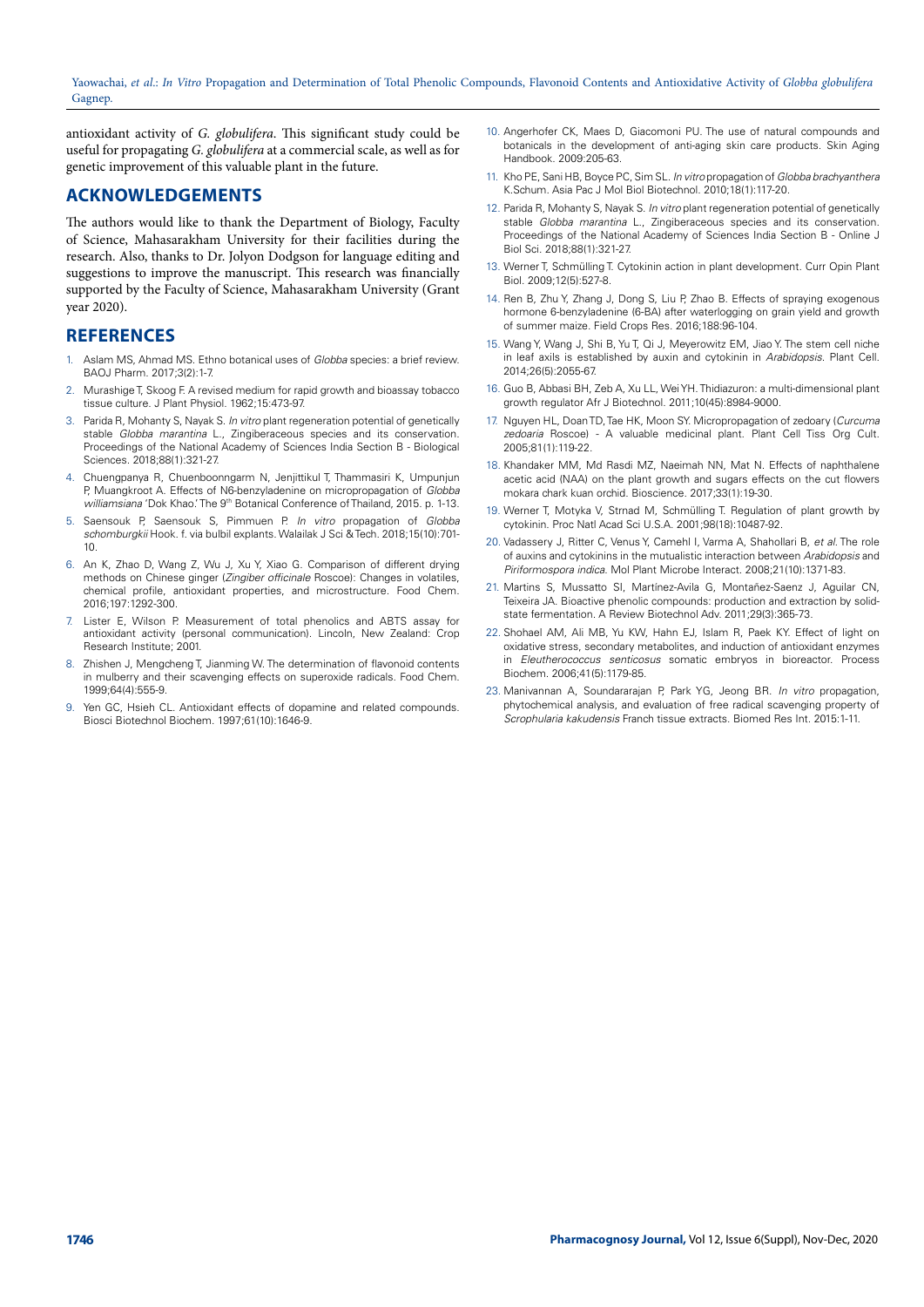antioxidant activity of *G. globulifera*. This significant study could be useful for propagating *G. globulifera* at a commercial scale, as well as for genetic improvement of this valuable plant in the future.

## **ACKNOWLEDGEMENTS**

The authors would like to thank the Department of Biology, Faculty of Science, Mahasarakham University for their facilities during the research. Also, thanks to Dr. Jolyon Dodgson for language editing and suggestions to improve the manuscript. This research was financially supported by the Faculty of Science, Mahasarakham University (Grant year 2020).

## **REFERENCES**

- 1. Aslam MS, Ahmad MS. Ethno botanical uses of *Globba* species: a brief review. BAOJ Pharm. 2017;3(2):1-7.
- Murashige T, Skoog F. A revised medium for rapid growth and bioassay tobacco tissue culture. J Plant Physiol. 1962;15:473-97.
- 3. Parida R, Mohanty S, Nayak S. *In vitro* plant regeneration potential of genetically stable *Globba marantina* L., Zingiberaceous species and its conservation. Proceedings of the National Academy of Sciences India Section B - Biological Sciences. 2018:88(1):321-27.
- 4. Chuengpanya R, Chuenboonngarm N, Jenjittikul T, Thammasiri K, Umpunjun P, Muangkroot A. Effects of N6-benzyladenine on micropropagation of *Globba williamsiana* 'Dok Khao.' The 9<sup>th</sup> Botanical Conference of Thailand, 2015. p. 1-13.
- 5. Saensouk P, Saensouk S, Pimmuen P. *In vitro* propagation of *Globba schomburgkii* Hook. f. via bulbil explants. Walailak J Sci & Tech. 2018;15(10):701- 10.
- 6. An K, Zhao D, Wang Z, Wu J, Xu Y, Xiao G. Comparison of different drying methods on Chinese ginger (*Zingiber officinale* Roscoe): Changes in volatiles, chemical profile, antioxidant properties, and microstructure. Food Chem. 2016;197:1292-300.
- 7. Lister E, Wilson P. Measurement of total phenolics and ABTS assay for antioxidant activity (personal communication). Lincoln, New Zealand: Crop Research Institute; 2001.
- 8. Zhishen J, Mengcheng T, Jianming W. The determination of flavonoid contents in mulberry and their scavenging effects on superoxide radicals. Food Chem. 1999;64(4):555-9.
- 9. Yen GC, Hsieh CL. Antioxidant effects of dopamine and related compounds. Biosci Biotechnol Biochem. 1997;61(10):1646-9.
- 10. Angerhofer CK, Maes D, Giacomoni PU. The use of natural compounds and botanicals in the development of anti-aging skin care products. Skin Aging Handbook. 2009:205-63.
- 11. Kho PE, Sani HB, Boyce PC, Sim SL. *In vitro* propagation of *Globba brachyanthera*  K.Schum. Asia Pac J Mol Biol Biotechnol. 2010;18(1):117-20.
- 12. Parida R, Mohanty S, Nayak S. *In vitro* plant regeneration potential of genetically stable *Globba marantina* L., Zingiberaceous species and its conservation. Proceedings of the National Academy of Sciences India Section B - Online J Biol Sci. 2018;88(1):321-27.
- 13. Werner T, Schmülling T. Cytokinin action in plant development. Curr Opin Plant Biol. 2009;12(5):527-8.
- 14. Ren B, Zhu Y, Zhang J, Dong S, Liu P, Zhao B. Effects of spraying exogenous hormone 6-benzyladenine (6-BA) after waterlogging on grain yield and growth of summer maize. Field Crops Res. 2016;188:96-104.
- 15. Wang Y, Wang J, Shi B, Yu T, Qi J, Meyerowitz EM, Jiao Y. The stem cell niche in leaf axils is established by auxin and cytokinin in *Arabidopsis*. Plant Cell. 2014;26(5):2055-67.
- 16. Guo B, Abbasi BH, Zeb A, Xu LL, Wei YH. Thidiazuron: a multi-dimensional plant growth regulator Afr J Biotechnol. 2011;10(45):8984-9000.
- 17. Nguyen HL, Doan TD, Tae HK, Moon SY. Micropropagation of zedoary (*Curcuma zedoaria* Roscoe) - A valuable medicinal plant. Plant Cell Tiss Org Cult. 2005;81(1):119-22.
- 18. Khandaker MM, Md Rasdi MZ, Naeimah NN, Mat N. Effects of naphthalene acetic acid (NAA) on the plant growth and sugars effects on the cut flowers mokara chark kuan orchid. Bioscience. 2017;33(1):19-30.
- 19. Werner T, Motyka V, Strnad M, Schmülling T. Regulation of plant growth by cytokinin. Proc Natl Acad Sci U.S.A. 2001;98(18):10487-92.
- 20. Vadassery J, Ritter C, Venus Y, Camehl I, Varma A, Shahollari B, *et al.* The role of auxins and cytokinins in the mutualistic interaction between *Arabidopsis* and *Piriformospora indica*. Mol Plant Microbe Interact. 2008;21(10):1371-83.
- 21. Martins S, Mussatto SI, Martínez-Avila G, Montañez-Saenz J, Aguilar CN, Teixeira JA. Bioactive phenolic compounds: production and extraction by solidstate fermentation. A Review Biotechnol Adv. 2011;29(3):365-73.
- 22. Shohael AM, Ali MB, Yu KW, Hahn EJ, Islam R, Paek KY. Effect of light on oxidative stress, secondary metabolites, and induction of antioxidant enzymes in *Eleutherococcus senticosus* somatic embryos in bioreactor. Process Biochem. 2006;41(5):1179-85.
- 23. Manivannan A, Soundararajan P, Park YG, Jeong BR. *In vitro* propagation, phytochemical analysis, and evaluation of free radical scavenging property of *Scrophularia kakudensis* Franch tissue extracts. Biomed Res Int. 2015:1-11.